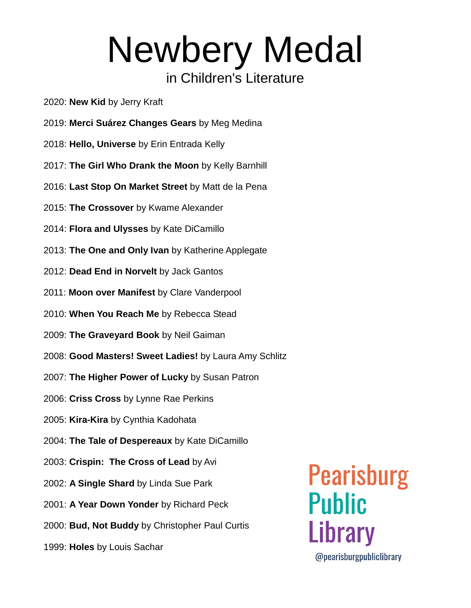- 2020: **New Kid** by Jerry Kraft
- 2019: **Merci Suárez Changes Gears** by Meg Medina
- 2018: **Hello, Universe** by Erin Entrada Kelly
- 2017: **The Girl Who Drank the Moon** by Kelly Barnhill
- 2016: **Last Stop On Market Street** by Matt de la Pena
- 2015: **The Crossover** by Kwame Alexander
- 2014: **Flora and Ulysses** by Kate DiCamillo
- 2013: **The One and Only Ivan** by Katherine Applegate
- 2012: **Dead End in Norvelt** by Jack Gantos
- 2011: **Moon over Manifest** by Clare Vanderpool
- 2010: **When You Reach Me** by Rebecca Stead
- 2009: **The Graveyard Book** by Neil Gaiman
- 2008: **Good Masters! Sweet Ladies!** by Laura Amy Schlitz
- 2007: **The Higher Power of Lucky** by Susan Patron
- 2006: **Criss Cross** by Lynne Rae Perkins
- 2005: **Kira-Kira** by Cynthia Kadohata
- 2004: **The Tale of Despereaux** by Kate DiCamillo
- 2003: **Crispin: The Cross of Lead** by Avi
- 2002: **A Single Shard** by Linda Sue Park
- 2001: **A Year Down Yonder** by Richard Peck
- 2000: **Bud, Not Buddy** by Christopher Paul Curtis
- 1999: **Holes** by Louis Sachar

**Pearisburg Public** Library

@pearisburgpubliclibrary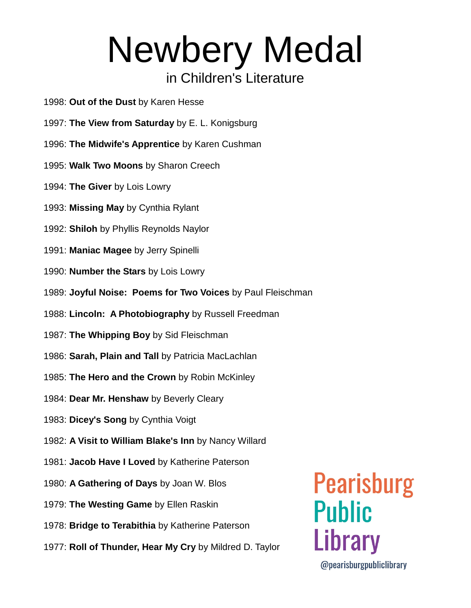- 1998: **Out of the Dust** by Karen Hesse
- 1997: **The View from Saturday** by E. L. Konigsburg
- 1996: **The Midwife's Apprentice** by Karen Cushman
- 1995: **Walk Two Moons** by Sharon Creech
- 1994: **The Giver** by Lois Lowry
- 1993: **Missing May** by Cynthia Rylant
- 1992: **Shiloh** by Phyllis Reynolds Naylor
- 1991: **Maniac Magee** by Jerry Spinelli
- 1990: **Number the Stars** by Lois Lowry
- 1989: **Joyful Noise: Poems for Two Voices** by Paul Fleischman
- 1988: **Lincoln: A Photobiography** by Russell Freedman
- 1987: **The Whipping Boy** by Sid Fleischman
- 1986: **Sarah, Plain and Tall** by Patricia MacLachlan
- 1985: **The Hero and the Crown** by Robin McKinley
- 1984: **Dear Mr. Henshaw** by Beverly Cleary
- 1983: **Dicey's Song** by Cynthia Voigt
- 1982: **A Visit to William Blake's Inn** by Nancy Willard
- 1981: **Jacob Have I Loved** by Katherine Paterson
- 1980: **A Gathering of Days** by Joan W. Blos
- 1979: **The Westing Game** by Ellen Raskin
- 1978: **Bridge to Terabithia** by Katherine Paterson
- 1977: **Roll of Thunder, Hear My Cry** by Mildred D. Taylor

## **Pearisburg Public** Library

@pearisburgpubliclibrary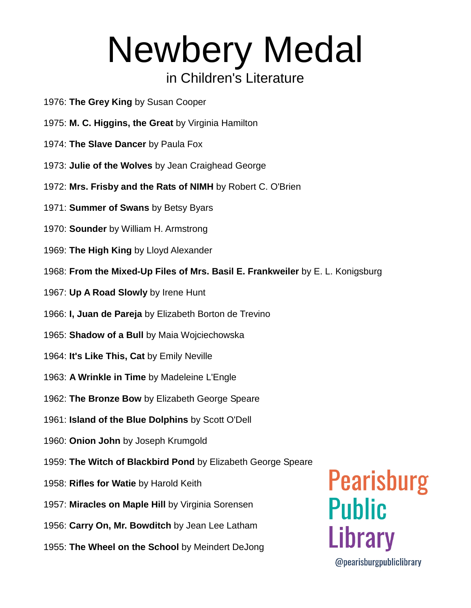- 1976: **The Grey King** by Susan Cooper
- 1975: **M. C. Higgins, the Great** by Virginia Hamilton
- 1974: **The Slave Dancer** by Paula Fox
- 1973: **Julie of the Wolves** by Jean Craighead George
- 1972: **Mrs. Frisby and the Rats of NIMH** by Robert C. O'Brien
- 1971: **Summer of Swans** by Betsy Byars
- 1970: **Sounder** by William H. Armstrong
- 1969: **The High King** by Lloyd Alexander
- 1968: **From the Mixed-Up Files of Mrs. Basil E. Frankweiler** by E. L. Konigsburg
- 1967: **Up A Road Slowly** by Irene Hunt
- 1966: **I, Juan de Pareja** by Elizabeth Borton de Trevino
- 1965: **Shadow of a Bull** by Maia Wojciechowska
- 1964: **It's Like This, Cat** by Emily Neville
- 1963: **A Wrinkle in Time** by Madeleine L'Engle
- 1962: **The Bronze Bow** by Elizabeth George Speare
- 1961: **Island of the Blue Dolphins** by Scott O'Dell
- 1960: **Onion John** by Joseph Krumgold
- 1959: **The Witch of Blackbird Pond** by Elizabeth George Speare
- 1958: **Rifles for Watie** by Harold Keith
- 1957: **Miracles on Maple Hill** by Virginia Sorensen
- 1956: **Carry On, Mr. Bowditch** by Jean Lee Latham
- 1955: **The Wheel on the School** by Meindert DeJong

# **Pearisburg Public** Library

@pearisburgpubliclibrary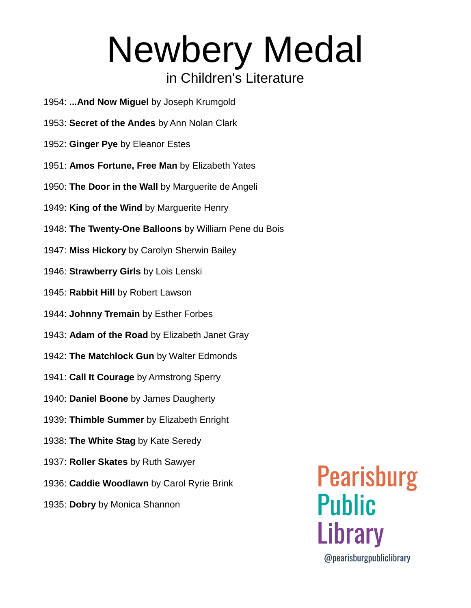- 1954: **...And Now Miguel** by Joseph Krumgold
- 1953: **Secret of the Andes** by Ann Nolan Clark
- 1952: **Ginger Pye** by Eleanor Estes
- 1951: **Amos Fortune, Free Man** by Elizabeth Yates
- 1950: **The Door in the Wall** by Marguerite de Angeli
- 1949: **King of the Wind** by Marguerite Henry
- 1948: **The Twenty-One Balloons** by William Pene du Bois
- 1947: **Miss Hickory** by Carolyn Sherwin Bailey
- 1946: **Strawberry Girls** by Lois Lenski
- 1945: **Rabbit Hill** by Robert Lawson
- 1944: **Johnny Tremain** by Esther Forbes
- 1943: **Adam of the Road** by Elizabeth Janet Gray
- 1942: **The Matchlock Gun** by Walter Edmonds
- 1941: **Call It Courage** by Armstrong Sperry
- 1940: **Daniel Boone** by James Daugherty
- 1939: **Thimble Summer** by Elizabeth Enright
- 1938: **The White Stag** by Kate Seredy
- 1937: **Roller Skates** by Ruth Sawyer
- 1936: **Caddie Woodlawn** by Carol Ryrie Brink
- 1935: **Dobry** by Monica Shannon

**Pearisburg Public** Library @pearisburgpubliclibrary